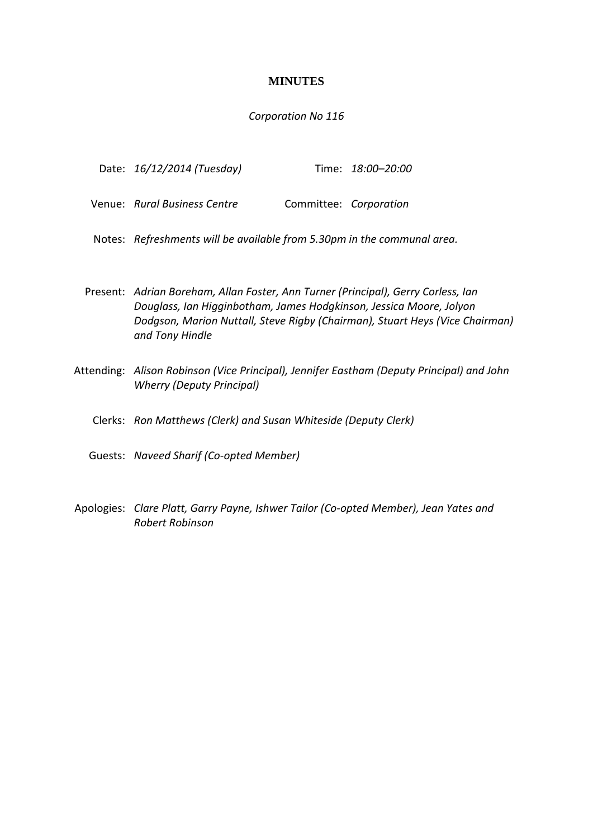# **MINUTES**

# *Corporation No 116*

| Date: 16/12/2014 (Tuesday) |  | Time: 18:00-20:00 |
|----------------------------|--|-------------------|
|----------------------------|--|-------------------|

| Venue: Rural Business Centre | Committee: Corporation |  |
|------------------------------|------------------------|--|
|                              |                        |  |

Notes: *Refreshments will be available from 5.30pm in the communal area.*

- Present: *Adrian Boreham, Allan Foster, Ann Turner (Principal), Gerry Corless, Ian Douglass, Ian Higginbotham, James Hodgkinson, Jessica Moore, Jolyon Dodgson, Marion Nuttall, Steve Rigby (Chairman), Stuart Heys (Vice Chairman) and Tony Hindle*
- Attending: *Alison Robinson (Vice Principal), Jennifer Eastham (Deputy Principal) and John Wherry (Deputy Principal)*
	- Clerks: *Ron Matthews (Clerk) and Susan Whiteside (Deputy Clerk)*
	- Guests: *Naveed Sharif (Co-opted Member)*
- Apologies: *Clare Platt, Garry Payne, Ishwer Tailor (Co-opted Member), Jean Yates and Robert Robinson*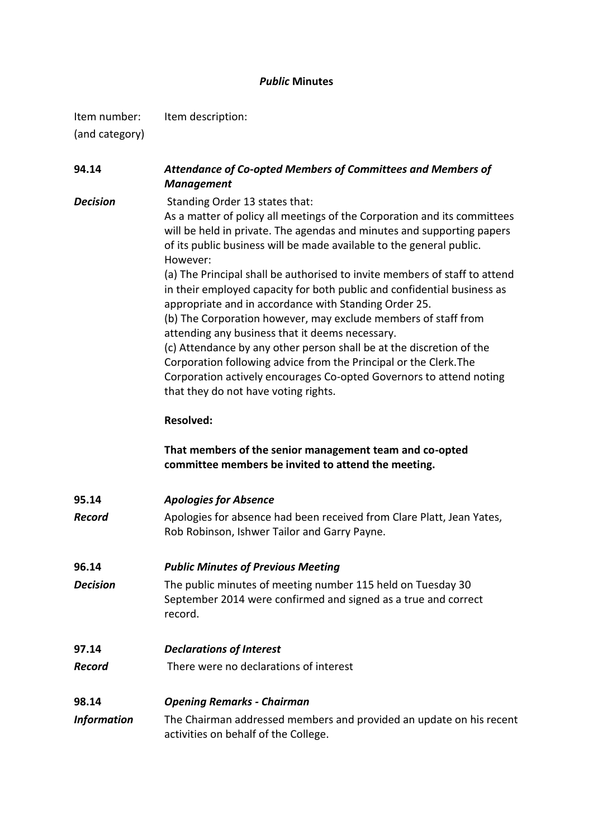# *Public* **Minutes**

Item number: Item description: (and category)

**94.14** *Attendance of Co-opted Members of Committees and Members of Management* **Decision** Standing Order 13 states that: As a matter of policy all meetings of the Corporation and its committees will be held in private. The agendas and minutes and supporting papers

> of its public business will be made available to the general public. However: (a) The Principal shall be authorised to invite members of staff to attend in their employed capacity for both public and confidential business as appropriate and in accordance with Standing Order 25. (b) The Corporation however, may exclude members of staff from attending any business that it deems necessary. (c) Attendance by any other person shall be at the discretion of the Corporation following advice from the Principal or the Clerk.The Corporation actively encourages Co-opted Governors to attend noting

**Resolved:**

that they do not have voting rights.

**That members of the senior management team and co-opted committee members be invited to attend the meeting.**

| 95.14    | <b>Apologies for Absence</b>                                                                                          |  |  |
|----------|-----------------------------------------------------------------------------------------------------------------------|--|--|
| Record   | Apologies for absence had been received from Clare Platt, Jean Yates,<br>Rob Robinson, Ishwer Tailor and Garry Payne. |  |  |
| 96.14    | <b>Public Minutes of Previous Meeting</b>                                                                             |  |  |
| Dacicion | The public minutes of meeting number 115 held on Tuesday 30                                                           |  |  |

*Decision* The public minutes of meeting number 115 held on Tuesday 30 September 2014 were confirmed and signed as a true and correct record.

# **97.14** *Declarations of Interest*

*Record* There were no declarations of interest

# **98.14** *Opening Remarks - Chairman*

*Information* The Chairman addressed members and provided an update on his recent activities on behalf of the College.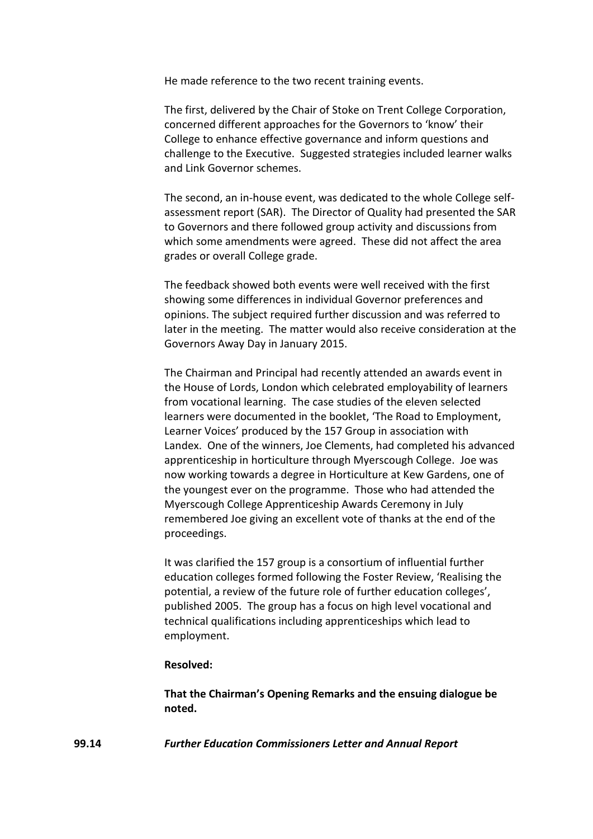He made reference to the two recent training events.

The first, delivered by the Chair of Stoke on Trent College Corporation, concerned different approaches for the Governors to 'know' their College to enhance effective governance and inform questions and challenge to the Executive. Suggested strategies included learner walks and Link Governor schemes.

The second, an in-house event, was dedicated to the whole College selfassessment report (SAR). The Director of Quality had presented the SAR to Governors and there followed group activity and discussions from which some amendments were agreed. These did not affect the area grades or overall College grade.

The feedback showed both events were well received with the first showing some differences in individual Governor preferences and opinions. The subject required further discussion and was referred to later in the meeting. The matter would also receive consideration at the Governors Away Day in January 2015.

The Chairman and Principal had recently attended an awards event in the House of Lords, London which celebrated employability of learners from vocational learning. The case studies of the eleven selected learners were documented in the booklet, 'The Road to Employment, Learner Voices' produced by the 157 Group in association with Landex. One of the winners, Joe Clements, had completed his advanced apprenticeship in horticulture through Myerscough College. Joe was now working towards a degree in Horticulture at Kew Gardens, one of the youngest ever on the programme. Those who had attended the Myerscough College Apprenticeship Awards Ceremony in July remembered Joe giving an excellent vote of thanks at the end of the proceedings.

It was clarified the 157 group is a consortium of influential further education colleges formed following the Foster Review, 'Realising the potential, a review of the future role of further education colleges', published 2005. The group has a focus on high level vocational and technical qualifications including apprenticeships which lead to employment.

#### **Resolved:**

**That the Chairman's Opening Remarks and the ensuing dialogue be noted.**

**99.14** *Further Education Commissioners Letter and Annual Report*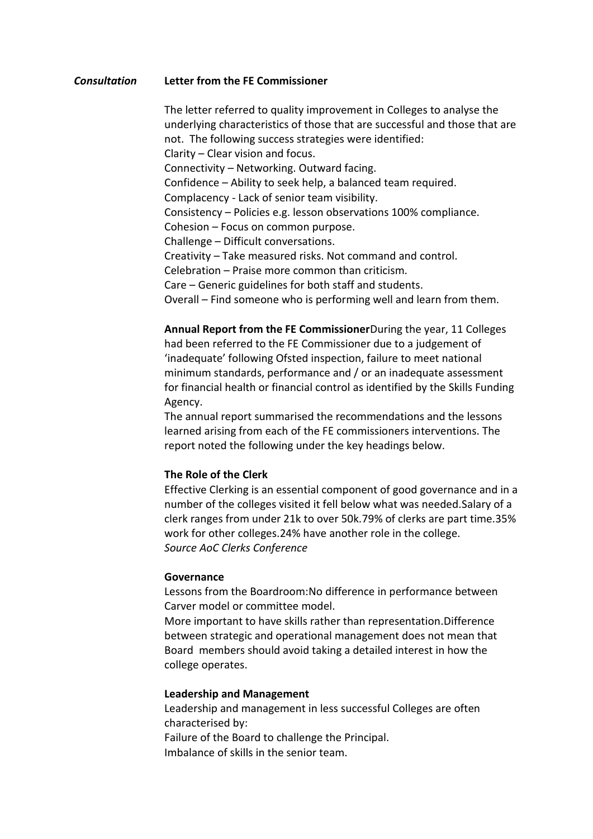#### *Consultation* **Letter from the FE Commissioner**

The letter referred to quality improvement in Colleges to analyse the underlying characteristics of those that are successful and those that are not. The following success strategies were identified: Clarity – Clear vision and focus. Connectivity – Networking. Outward facing. Confidence – Ability to seek help, a balanced team required. Complacency - Lack of senior team visibility. Consistency – Policies e.g. lesson observations 100% compliance. Cohesion – Focus on common purpose. Challenge – Difficult conversations. Creativity – Take measured risks. Not command and control. Celebration – Praise more common than criticism. Care – Generic guidelines for both staff and students. Overall – Find someone who is performing well and learn from them.

**Annual Report from the FE Commissioner**During the year, 11 Colleges had been referred to the FE Commissioner due to a judgement of 'inadequate' following Ofsted inspection, failure to meet national minimum standards, performance and / or an inadequate assessment for financial health or financial control as identified by the Skills Funding Agency.

The annual report summarised the recommendations and the lessons learned arising from each of the FE commissioners interventions. The report noted the following under the key headings below.

### **The Role of the Clerk**

Effective Clerking is an essential component of good governance and in a number of the colleges visited it fell below what was needed.Salary of a clerk ranges from under 21k to over 50k.79% of clerks are part time.35% work for other colleges.24% have another role in the college. *Source AoC Clerks Conference*

#### **Governance**

Lessons from the Boardroom:No difference in performance between Carver model or committee model.

More important to have skills rather than representation.Difference between strategic and operational management does not mean that Board members should avoid taking a detailed interest in how the college operates.

#### **Leadership and Management**

Leadership and management in less successful Colleges are often characterised by: Failure of the Board to challenge the Principal. Imbalance of skills in the senior team.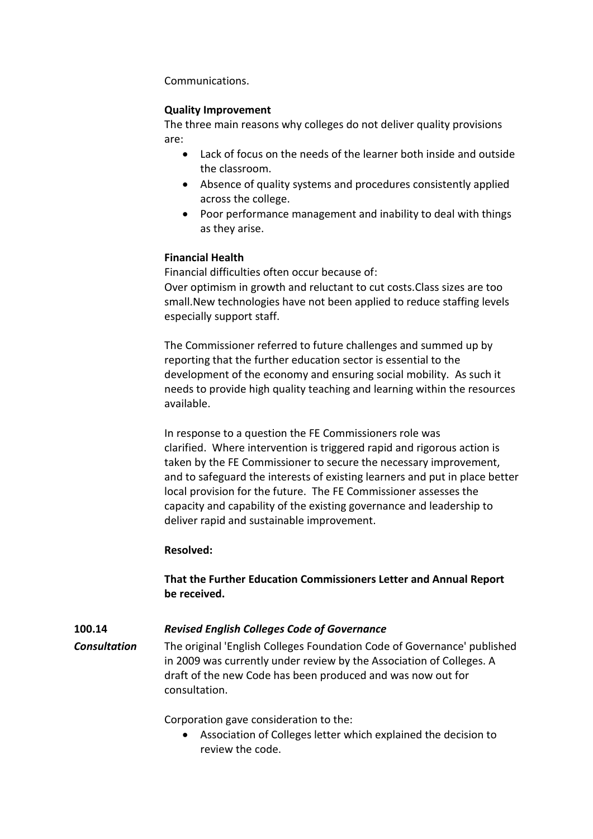Communications.

# **Quality Improvement**

The three main reasons why colleges do not deliver quality provisions are:

- Lack of focus on the needs of the learner both inside and outside the classroom.
- Absence of quality systems and procedures consistently applied across the college.
- Poor performance management and inability to deal with things as they arise.

# **Financial Health**

Financial difficulties often occur because of: Over optimism in growth and reluctant to cut costs.Class sizes are too small.New technologies have not been applied to reduce staffing levels especially support staff.

The Commissioner referred to future challenges and summed up by reporting that the further education sector is essential to the development of the economy and ensuring social mobility. As such it needs to provide high quality teaching and learning within the resources available.

In response to a question the FE Commissioners role was clarified. Where intervention is triggered rapid and rigorous action is taken by the FE Commissioner to secure the necessary improvement, and to safeguard the interests of existing learners and put in place better local provision for the future. The FE Commissioner assesses the capacity and capability of the existing governance and leadership to deliver rapid and sustainable improvement.

# **Resolved:**

# **That the Further Education Commissioners Letter and Annual Report be received.**

# **100.14** *Revised English Colleges Code of Governance*

*Consultation* The original 'English Colleges Foundation Code of Governance' published in 2009 was currently under review by the Association of Colleges. A draft of the new Code has been produced and was now out for consultation.

Corporation gave consideration to the:

 Association of Colleges letter which explained the decision to review the code.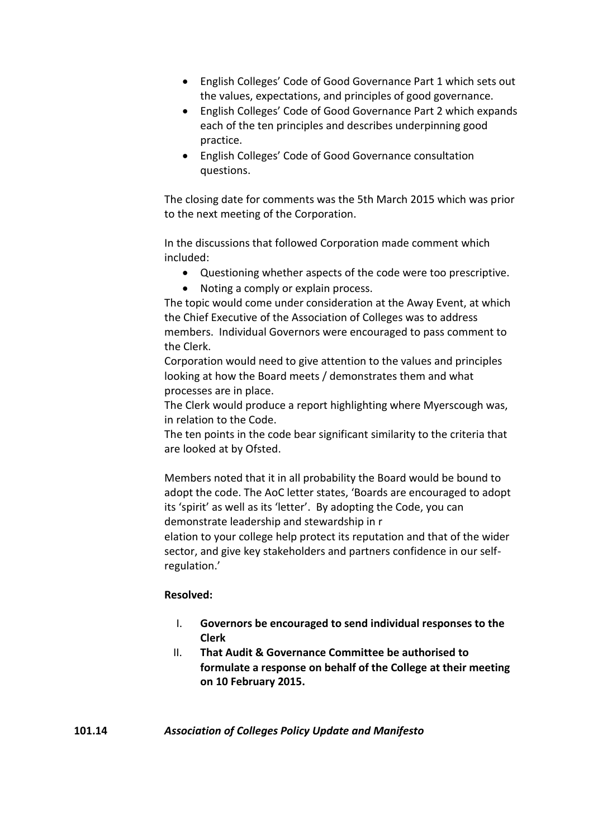- English Colleges' Code of Good Governance Part 1 which sets out the values, expectations, and principles of good governance.
- English Colleges' Code of Good Governance Part 2 which expands each of the ten principles and describes underpinning good practice.
- English Colleges' Code of Good Governance consultation questions.

The closing date for comments was the 5th March 2015 which was prior to the next meeting of the Corporation.

In the discussions that followed Corporation made comment which included:

- Questioning whether aspects of the code were too prescriptive.
- Noting a comply or explain process.

The topic would come under consideration at the Away Event, at which the Chief Executive of the Association of Colleges was to address members. Individual Governors were encouraged to pass comment to the Clerk.

Corporation would need to give attention to the values and principles looking at how the Board meets / demonstrates them and what processes are in place.

The Clerk would produce a report highlighting where Myerscough was, in relation to the Code.

The ten points in the code bear significant similarity to the criteria that are looked at by Ofsted.

Members noted that it in all probability the Board would be bound to adopt the code. The AoC letter states, 'Boards are encouraged to adopt its 'spirit' as well as its 'letter'. By adopting the Code, you can demonstrate leadership and stewardship in r

elation to your college help protect its reputation and that of the wider sector, and give key stakeholders and partners confidence in our selfregulation.'

# **Resolved:**

- I. **Governors be encouraged to send individual responses to the Clerk**
- II. **That Audit & Governance Committee be authorised to formulate a response on behalf of the College at their meeting on 10 February 2015.**

**101.14** *Association of Colleges Policy Update and Manifesto*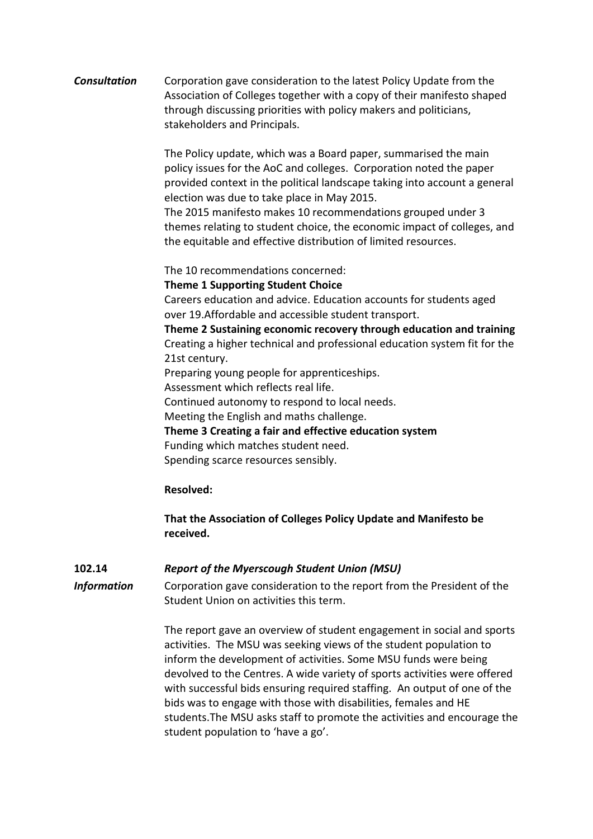# *Consultation* Corporation gave consideration to the latest Policy Update from the Association of Colleges together with a copy of their manifesto shaped through discussing priorities with policy makers and politicians, stakeholders and Principals.

The Policy update, which was a Board paper, summarised the main policy issues for the AoC and colleges. Corporation noted the paper provided context in the political landscape taking into account a general election was due to take place in May 2015.

The 2015 manifesto makes 10 recommendations grouped under 3 themes relating to student choice, the economic impact of colleges, and the equitable and effective distribution of limited resources.

The 10 recommendations concerned:

#### **Theme 1 Supporting Student Choice**

Careers education and advice. Education accounts for students aged over 19.Affordable and accessible student transport.

**Theme 2 Sustaining economic recovery through education and training** Creating a higher technical and professional education system fit for the 21st century.

Preparing young people for apprenticeships.

Assessment which reflects real life.

Continued autonomy to respond to local needs.

Meeting the English and maths challenge.

**Theme 3 Creating a fair and effective education system**

Funding which matches student need.

Spending scarce resources sensibly.

# **Resolved:**

# **That the Association of Colleges Policy Update and Manifesto be received.**

# **102.14** *Report of the Myerscough Student Union (MSU)*

*Information* Corporation gave consideration to the report from the President of the Student Union on activities this term.

> The report gave an overview of student engagement in social and sports activities. The MSU was seeking views of the student population to inform the development of activities. Some MSU funds were being devolved to the Centres. A wide variety of sports activities were offered with successful bids ensuring required staffing. An output of one of the bids was to engage with those with disabilities, females and HE students.The MSU asks staff to promote the activities and encourage the student population to 'have a go'.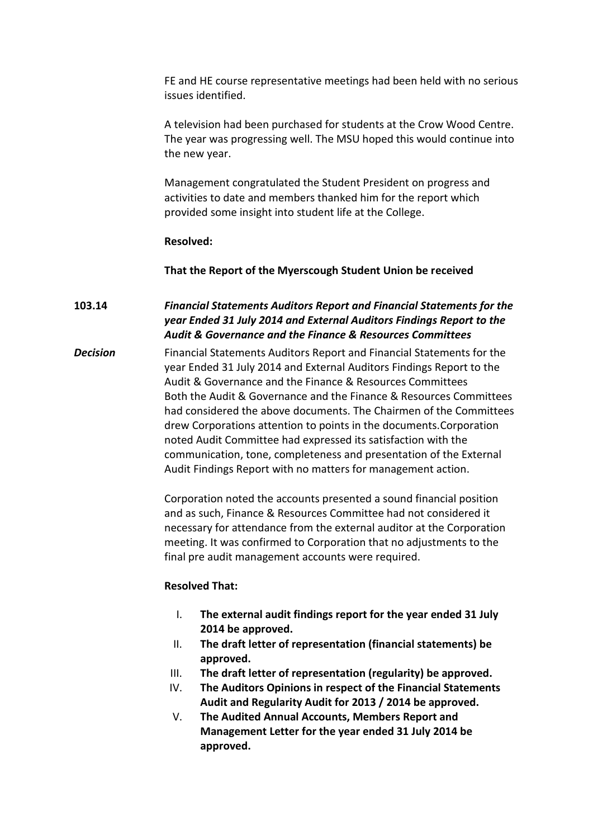FE and HE course representative meetings had been held with no serious issues identified.

A television had been purchased for students at the Crow Wood Centre. The year was progressing well. The MSU hoped this would continue into the new year.

Management congratulated the Student President on progress and activities to date and members thanked him for the report which provided some insight into student life at the College.

#### **Resolved:**

**That the Report of the Myerscough Student Union be received**

**103.14** *Financial Statements Auditors Report and Financial Statements for the year Ended 31 July 2014 and External Auditors Findings Report to the Audit & Governance and the Finance & Resources Committees*

*Decision* Financial Statements Auditors Report and Financial Statements for the year Ended 31 July 2014 and External Auditors Findings Report to the Audit & Governance and the Finance & Resources Committees Both the Audit & Governance and the Finance & Resources Committees had considered the above documents. The Chairmen of the Committees drew Corporations attention to points in the documents.Corporation noted Audit Committee had expressed its satisfaction with the communication, tone, completeness and presentation of the External Audit Findings Report with no matters for management action.

> Corporation noted the accounts presented a sound financial position and as such, Finance & Resources Committee had not considered it necessary for attendance from the external auditor at the Corporation meeting. It was confirmed to Corporation that no adjustments to the final pre audit management accounts were required.

#### **Resolved That:**

- I. **The external audit findings report for the year ended 31 July 2014 be approved.**
- II. **The draft letter of representation (financial statements) be approved.**
- III. **The draft letter of representation (regularity) be approved.**
- IV. **The Auditors Opinions in respect of the Financial Statements Audit and Regularity Audit for 2013 / 2014 be approved.**
- V. **The Audited Annual Accounts, Members Report and Management Letter for the year ended 31 July 2014 be approved.**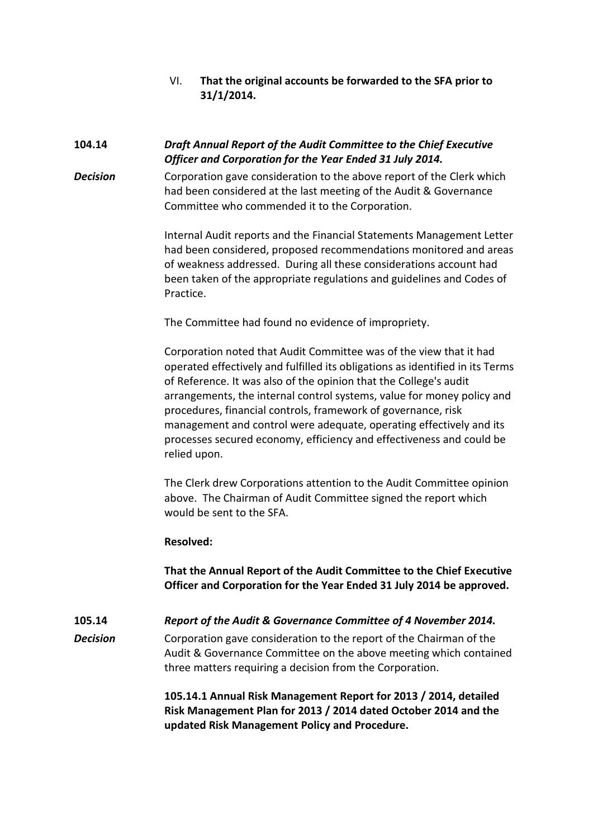VI. **That the original accounts be forwarded to the SFA prior to 31/1/2014.** 

# **104.14** *Draft Annual Report of the Audit Committee to the Chief Executive Officer and Corporation for the Year Ended 31 July 2014.*

**Decision** Corporation gave consideration to the above report of the Clerk which had been considered at the last meeting of the Audit & Governance Committee who commended it to the Corporation.

> Internal Audit reports and the Financial Statements Management Letter had been considered, proposed recommendations monitored and areas of weakness addressed. During all these considerations account had been taken of the appropriate regulations and guidelines and Codes of Practice.

The Committee had found no evidence of impropriety.

Corporation noted that Audit Committee was of the view that it had operated effectively and fulfilled its obligations as identified in its Terms of Reference. It was also of the opinion that the College's audit arrangements, the internal control systems, value for money policy and procedures, financial controls, framework of governance, risk management and control were adequate, operating effectively and its processes secured economy, efficiency and effectiveness and could be relied upon.

The Clerk drew Corporations attention to the Audit Committee opinion above. The Chairman of Audit Committee signed the report which would be sent to the SFA.

# **Resolved:**

**That the Annual Report of the Audit Committee to the Chief Executive Officer and Corporation for the Year Ended 31 July 2014 be approved.**

**105.14** *Report of the Audit & Governance Committee of 4 November 2014.*

*Decision* Corporation gave consideration to the report of the Chairman of the Audit & Governance Committee on the above meeting which contained three matters requiring a decision from the Corporation.

> **105.14.1 Annual Risk Management Report for 2013 / 2014, detailed Risk Management Plan for 2013 / 2014 dated October 2014 and the updated Risk Management Policy and Procedure.**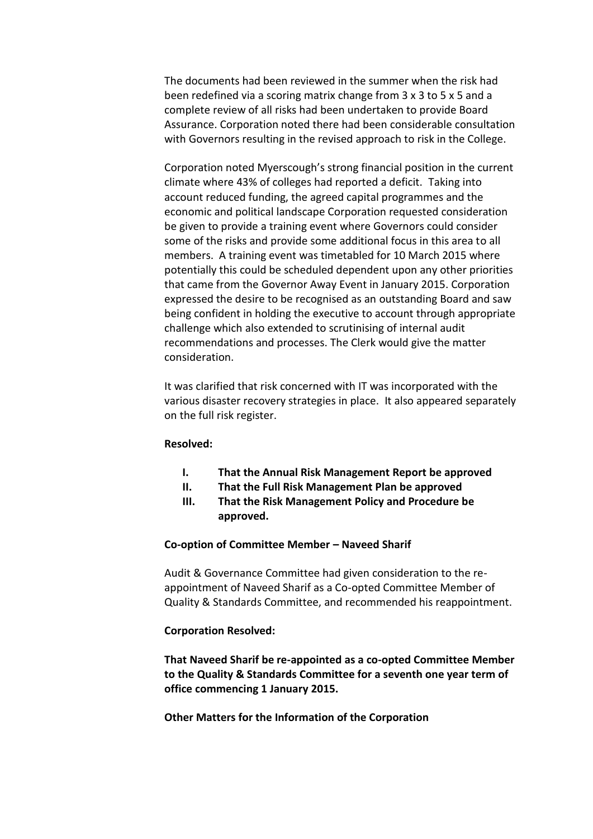The documents had been reviewed in the summer when the risk had been redefined via a scoring matrix change from 3 x 3 to 5 x 5 and a complete review of all risks had been undertaken to provide Board Assurance. Corporation noted there had been considerable consultation with Governors resulting in the revised approach to risk in the College.

Corporation noted Myerscough's strong financial position in the current climate where 43% of colleges had reported a deficit. Taking into account reduced funding, the agreed capital programmes and the economic and political landscape Corporation requested consideration be given to provide a training event where Governors could consider some of the risks and provide some additional focus in this area to all members. A training event was timetabled for 10 March 2015 where potentially this could be scheduled dependent upon any other priorities that came from the Governor Away Event in January 2015. Corporation expressed the desire to be recognised as an outstanding Board and saw being confident in holding the executive to account through appropriate challenge which also extended to scrutinising of internal audit recommendations and processes. The Clerk would give the matter consideration.

It was clarified that risk concerned with IT was incorporated with the various disaster recovery strategies in place. It also appeared separately on the full risk register.

#### **Resolved:**

- **I. That the Annual Risk Management Report be approved**
- **II. That the Full Risk Management Plan be approved**
- **III. That the Risk Management Policy and Procedure be approved.**

# **Co-option of Committee Member – Naveed Sharif**

Audit & Governance Committee had given consideration to the reappointment of Naveed Sharif as a Co-opted Committee Member of Quality & Standards Committee, and recommended his reappointment.

# **Corporation Resolved:**

**That Naveed Sharif be re-appointed as a co-opted Committee Member to the Quality & Standards Committee for a seventh one year term of office commencing 1 January 2015.**

# **Other Matters for the Information of the Corporation**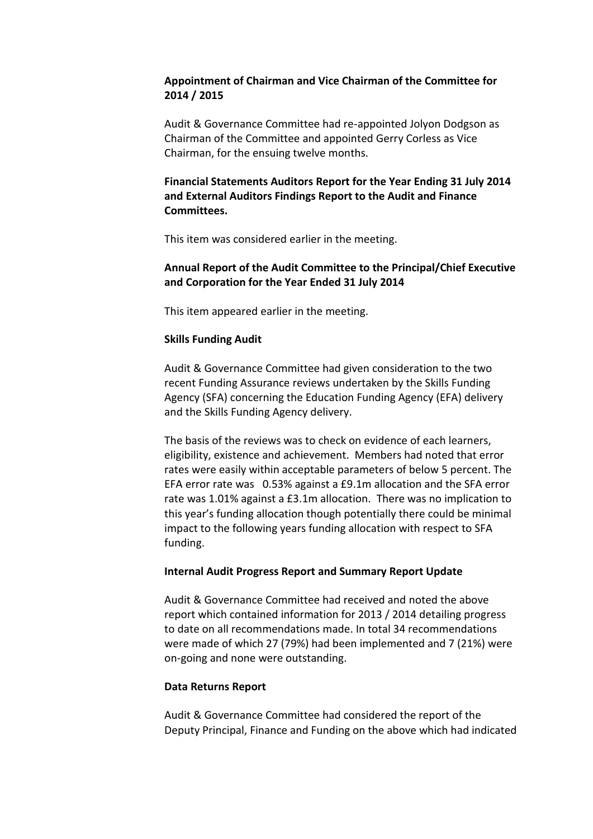# **Appointment of Chairman and Vice Chairman of the Committee for 2014 / 2015**

Audit & Governance Committee had re-appointed Jolyon Dodgson as Chairman of the Committee and appointed Gerry Corless as Vice Chairman, for the ensuing twelve months.

# **Financial Statements Auditors Report for the Year Ending 31 July 2014 and External Auditors Findings Report to the Audit and Finance Committees.**

This item was considered earlier in the meeting.

# **Annual Report of the Audit Committee to the Principal/Chief Executive and Corporation for the Year Ended 31 July 2014**

This item appeared earlier in the meeting.

# **Skills Funding Audit**

Audit & Governance Committee had given consideration to the two recent Funding Assurance reviews undertaken by the Skills Funding Agency (SFA) concerning the Education Funding Agency (EFA) delivery and the Skills Funding Agency delivery.

The basis of the reviews was to check on evidence of each learners, eligibility, existence and achievement. Members had noted that error rates were easily within acceptable parameters of below 5 percent. The EFA error rate was 0.53% against a £9.1m allocation and the SFA error rate was 1.01% against a £3.1m allocation. There was no implication to this year's funding allocation though potentially there could be minimal impact to the following years funding allocation with respect to SFA funding.

# **Internal Audit Progress Report and Summary Report Update**

Audit & Governance Committee had received and noted the above report which contained information for 2013 / 2014 detailing progress to date on all recommendations made. In total 34 recommendations were made of which 27 (79%) had been implemented and 7 (21%) were on-going and none were outstanding.

# **Data Returns Report**

Audit & Governance Committee had considered the report of the Deputy Principal, Finance and Funding on the above which had indicated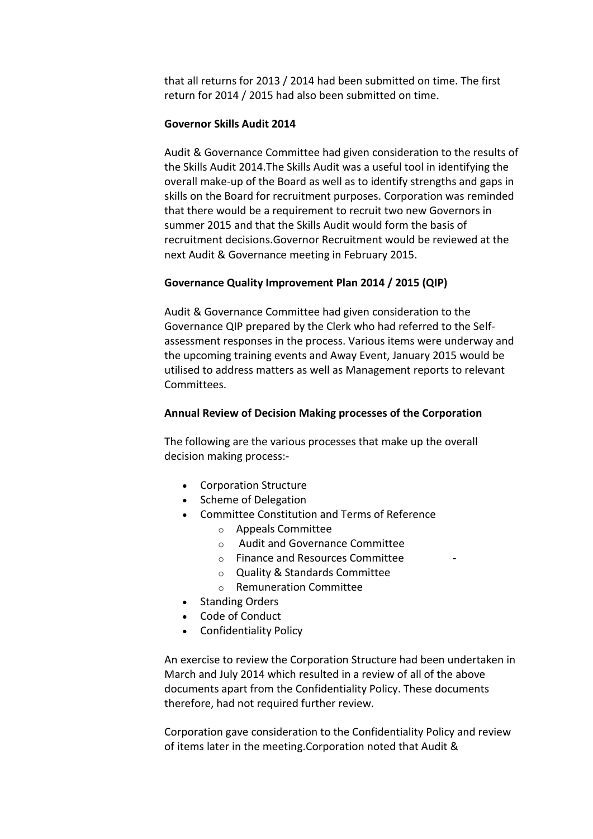that all returns for 2013 / 2014 had been submitted on time. The first return for 2014 / 2015 had also been submitted on time.

#### **Governor Skills Audit 2014**

Audit & Governance Committee had given consideration to the results of the Skills Audit 2014.The Skills Audit was a useful tool in identifying the overall make-up of the Board as well as to identify strengths and gaps in skills on the Board for recruitment purposes. Corporation was reminded that there would be a requirement to recruit two new Governors in summer 2015 and that the Skills Audit would form the basis of recruitment decisions.Governor Recruitment would be reviewed at the next Audit & Governance meeting in February 2015.

#### **Governance Quality Improvement Plan 2014 / 2015 (QIP)**

Audit & Governance Committee had given consideration to the Governance QIP prepared by the Clerk who had referred to the Selfassessment responses in the process. Various items were underway and the upcoming training events and Away Event, January 2015 would be utilised to address matters as well as Management reports to relevant Committees.

#### **Annual Review of Decision Making processes of the Corporation**

The following are the various processes that make up the overall decision making process:-

- Corporation Structure
- Scheme of Delegation
- Committee Constitution and Terms of Reference
	- o Appeals Committee
	- o Audit and Governance Committee
	- $\circ$  Finance and Resources Committee
	- o Quality & Standards Committee
	- o Remuneration Committee
- Standing Orders
- Code of Conduct
- Confidentiality Policy

An exercise to review the Corporation Structure had been undertaken in March and July 2014 which resulted in a review of all of the above documents apart from the Confidentiality Policy. These documents therefore, had not required further review.

Corporation gave consideration to the Confidentiality Policy and review of items later in the meeting.Corporation noted that Audit &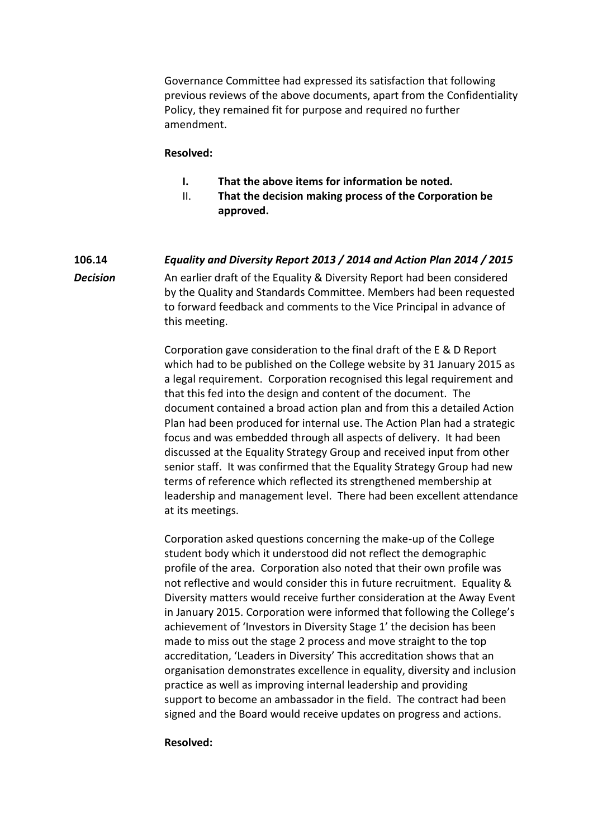Governance Committee had expressed its satisfaction that following previous reviews of the above documents, apart from the Confidentiality Policy, they remained fit for purpose and required no further amendment.

#### **Resolved:**

- **I. That the above items for information be noted.**
- II. **That the decision making process of the Corporation be approved.**

# **106.14** *Equality and Diversity Report 2013 / 2014 and Action Plan 2014 / 2015* **Decision** An earlier draft of the Equality & Diversity Report had been considered by the Quality and Standards Committee. Members had been requested to forward feedback and comments to the Vice Principal in advance of this meeting.

Corporation gave consideration to the final draft of the E & D Report which had to be published on the College website by 31 January 2015 as a legal requirement. Corporation recognised this legal requirement and that this fed into the design and content of the document. The document contained a broad action plan and from this a detailed Action Plan had been produced for internal use. The Action Plan had a strategic focus and was embedded through all aspects of delivery. It had been discussed at the Equality Strategy Group and received input from other senior staff. It was confirmed that the Equality Strategy Group had new terms of reference which reflected its strengthened membership at leadership and management level. There had been excellent attendance at its meetings.

Corporation asked questions concerning the make-up of the College student body which it understood did not reflect the demographic profile of the area. Corporation also noted that their own profile was not reflective and would consider this in future recruitment. Equality & Diversity matters would receive further consideration at the Away Event in January 2015. Corporation were informed that following the College's achievement of 'Investors in Diversity Stage 1' the decision has been made to miss out the stage 2 process and move straight to the top accreditation, 'Leaders in Diversity' This accreditation shows that an organisation demonstrates excellence in equality, diversity and inclusion practice as well as improving internal leadership and providing support to become an ambassador in the field. The contract had been signed and the Board would receive updates on progress and actions.

#### **Resolved:**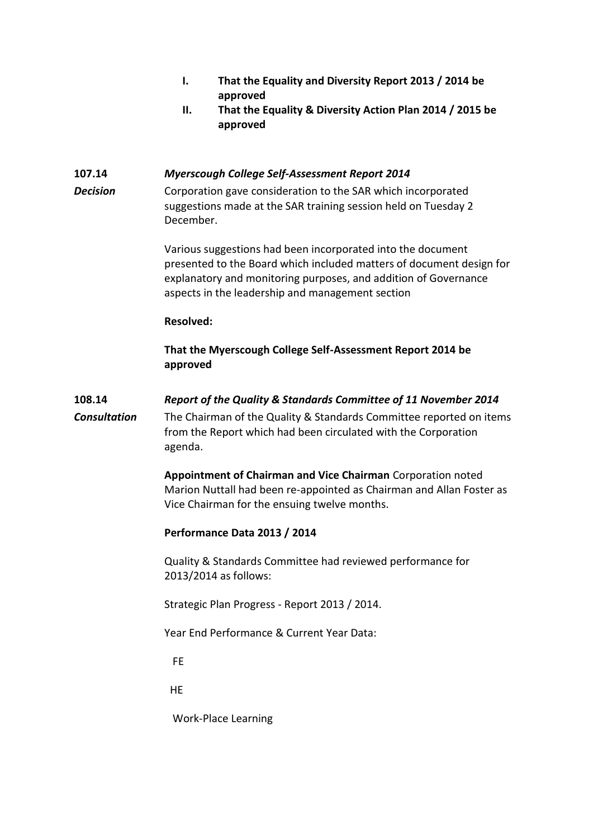- **I. That the Equality and Diversity Report 2013 / 2014 be approved**
- **II. That the Equality & Diversity Action Plan 2014 / 2015 be approved**

# **107.14** *Myerscough College Self-Assessment Report 2014*

**Decision** Corporation gave consideration to the SAR which incorporated suggestions made at the SAR training session held on Tuesday 2 December.

> Various suggestions had been incorporated into the document presented to the Board which included matters of document design for explanatory and monitoring purposes, and addition of Governance aspects in the leadership and management section

#### **Resolved:**

**That the Myerscough College Self-Assessment Report 2014 be approved**

# **108.14** *Report of the Quality & Standards Committee of 11 November 2014*

*Consultation* The Chairman of the Quality & Standards Committee reported on items from the Report which had been circulated with the Corporation agenda.

> **Appointment of Chairman and Vice Chairman** Corporation noted Marion Nuttall had been re-appointed as Chairman and Allan Foster as Vice Chairman for the ensuing twelve months.

# **Performance Data 2013 / 2014**

Quality & Standards Committee had reviewed performance for 2013/2014 as follows:

Strategic Plan Progress - Report 2013 / 2014.

Year End Performance & Current Year Data:

FE

HE

Work-Place Learning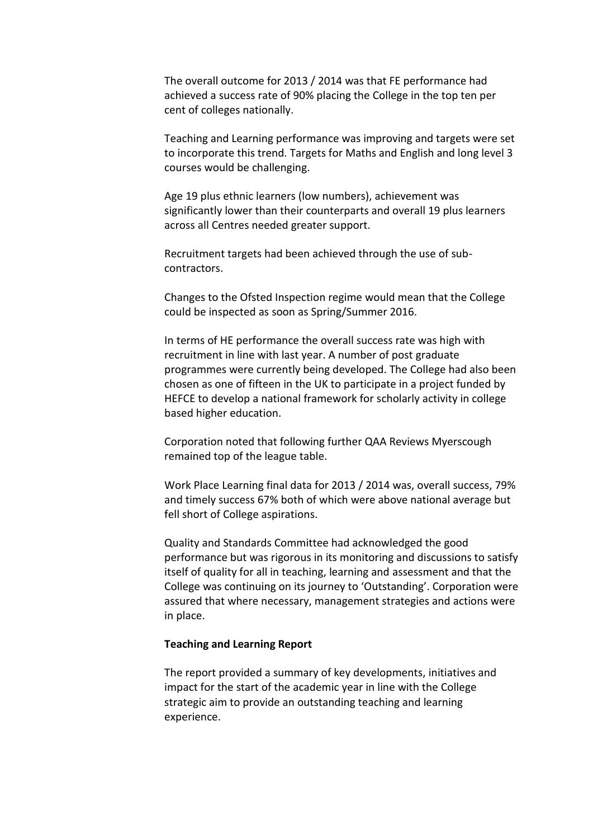The overall outcome for 2013 / 2014 was that FE performance had achieved a success rate of 90% placing the College in the top ten per cent of colleges nationally.

Teaching and Learning performance was improving and targets were set to incorporate this trend. Targets for Maths and English and long level 3 courses would be challenging.

Age 19 plus ethnic learners (low numbers), achievement was significantly lower than their counterparts and overall 19 plus learners across all Centres needed greater support.

Recruitment targets had been achieved through the use of subcontractors.

Changes to the Ofsted Inspection regime would mean that the College could be inspected as soon as Spring/Summer 2016.

In terms of HE performance the overall success rate was high with recruitment in line with last year. A number of post graduate programmes were currently being developed. The College had also been chosen as one of fifteen in the UK to participate in a project funded by HEFCE to develop a national framework for scholarly activity in college based higher education.

Corporation noted that following further QAA Reviews Myerscough remained top of the league table.

Work Place Learning final data for 2013 / 2014 was, overall success, 79% and timely success 67% both of which were above national average but fell short of College aspirations.

Quality and Standards Committee had acknowledged the good performance but was rigorous in its monitoring and discussions to satisfy itself of quality for all in teaching, learning and assessment and that the College was continuing on its journey to 'Outstanding'. Corporation were assured that where necessary, management strategies and actions were in place.

#### **Teaching and Learning Report**

The report provided a summary of key developments, initiatives and impact for the start of the academic year in line with the College strategic aim to provide an outstanding teaching and learning experience.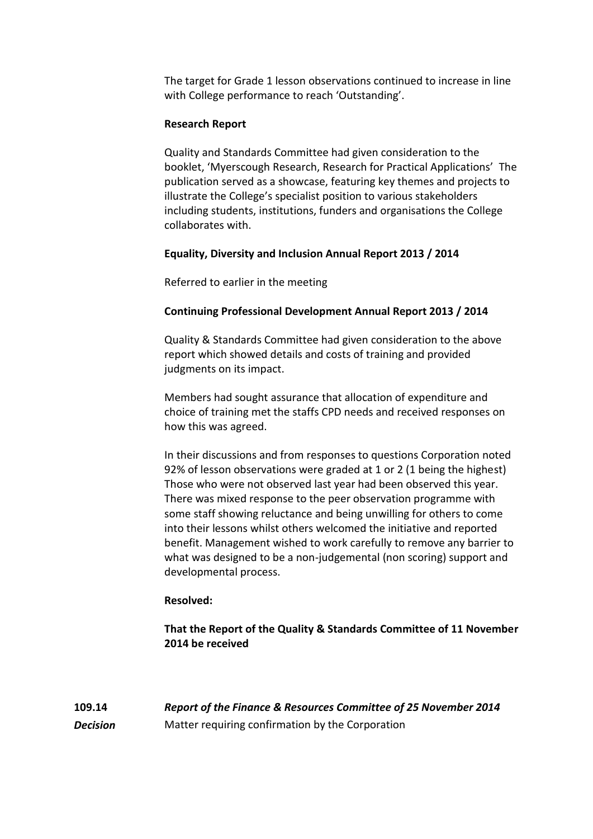The target for Grade 1 lesson observations continued to increase in line with College performance to reach 'Outstanding'.

# **Research Report**

Quality and Standards Committee had given consideration to the booklet, 'Myerscough Research, Research for Practical Applications' The publication served as a showcase, featuring key themes and projects to illustrate the College's specialist position to various stakeholders including students, institutions, funders and organisations the College collaborates with.

# **Equality, Diversity and Inclusion Annual Report 2013 / 2014**

Referred to earlier in the meeting

# **Continuing Professional Development Annual Report 2013 / 2014**

Quality & Standards Committee had given consideration to the above report which showed details and costs of training and provided judgments on its impact.

Members had sought assurance that allocation of expenditure and choice of training met the staffs CPD needs and received responses on how this was agreed.

In their discussions and from responses to questions Corporation noted 92% of lesson observations were graded at 1 or 2 (1 being the highest) Those who were not observed last year had been observed this year. There was mixed response to the peer observation programme with some staff showing reluctance and being unwilling for others to come into their lessons whilst others welcomed the initiative and reported benefit. Management wished to work carefully to remove any barrier to what was designed to be a non-judgemental (non scoring) support and developmental process.

#### **Resolved:**

**That the Report of the Quality & Standards Committee of 11 November 2014 be received**

**109.14** *Report of the Finance & Resources Committee of 25 November 2014* **Decision** Matter requiring confirmation by the Corporation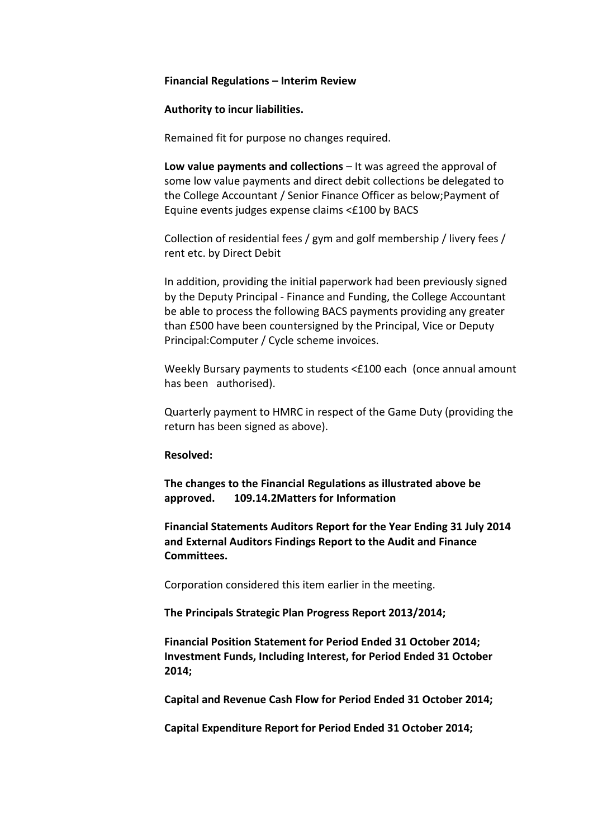#### **Financial Regulations – Interim Review**

#### **Authority to incur liabilities.**

Remained fit for purpose no changes required.

**Low value payments and collections** – It was agreed the approval of some low value payments and direct debit collections be delegated to the College Accountant / Senior Finance Officer as below;Payment of Equine events judges expense claims <£100 by BACS

Collection of residential fees / gym and golf membership / livery fees / rent etc. by Direct Debit

In addition, providing the initial paperwork had been previously signed by the Deputy Principal - Finance and Funding, the College Accountant be able to process the following BACS payments providing any greater than £500 have been countersigned by the Principal, Vice or Deputy Principal:Computer / Cycle scheme invoices.

Weekly Bursary payments to students <£100 each (once annual amount has been authorised).

Quarterly payment to HMRC in respect of the Game Duty (providing the return has been signed as above).

#### **Resolved:**

**The changes to the Financial Regulations as illustrated above be approved. 109.14.2Matters for Information**

**Financial Statements Auditors Report for the Year Ending 31 July 2014 and External Auditors Findings Report to the Audit and Finance Committees.**

Corporation considered this item earlier in the meeting.

**The Principals Strategic Plan Progress Report 2013/2014;**

**Financial Position Statement for Period Ended 31 October 2014; Investment Funds, Including Interest, for Period Ended 31 October 2014;**

**Capital and Revenue Cash Flow for Period Ended 31 October 2014;**

**Capital Expenditure Report for Period Ended 31 October 2014;**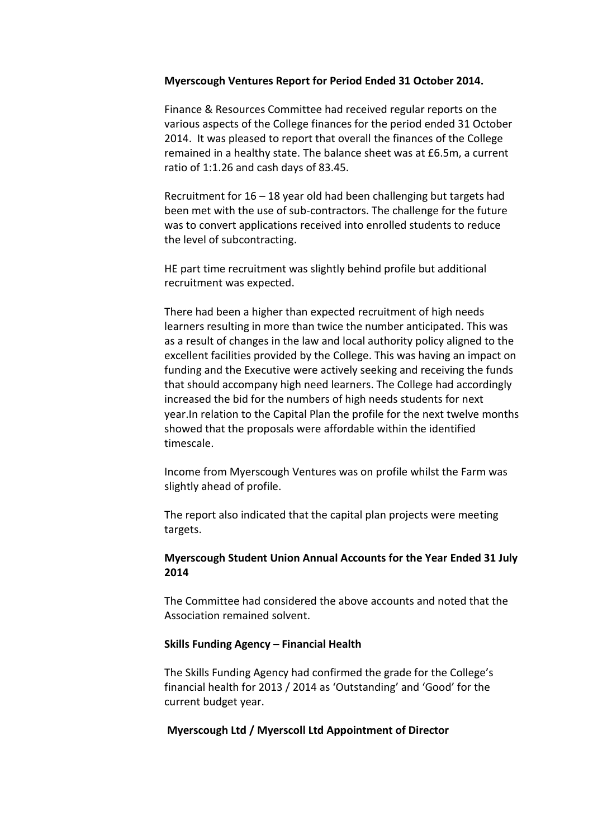#### **Myerscough Ventures Report for Period Ended 31 October 2014.**

Finance & Resources Committee had received regular reports on the various aspects of the College finances for the period ended 31 October 2014. It was pleased to report that overall the finances of the College remained in a healthy state. The balance sheet was at £6.5m, a current ratio of 1:1.26 and cash days of 83.45.

Recruitment for 16 – 18 year old had been challenging but targets had been met with the use of sub-contractors. The challenge for the future was to convert applications received into enrolled students to reduce the level of subcontracting.

HE part time recruitment was slightly behind profile but additional recruitment was expected.

There had been a higher than expected recruitment of high needs learners resulting in more than twice the number anticipated. This was as a result of changes in the law and local authority policy aligned to the excellent facilities provided by the College. This was having an impact on funding and the Executive were actively seeking and receiving the funds that should accompany high need learners. The College had accordingly increased the bid for the numbers of high needs students for next year.In relation to the Capital Plan the profile for the next twelve months showed that the proposals were affordable within the identified timescale.

Income from Myerscough Ventures was on profile whilst the Farm was slightly ahead of profile.

The report also indicated that the capital plan projects were meeting targets.

# **Myerscough Student Union Annual Accounts for the Year Ended 31 July 2014**

The Committee had considered the above accounts and noted that the Association remained solvent.

#### **Skills Funding Agency – Financial Health**

The Skills Funding Agency had confirmed the grade for the College's financial health for 2013 / 2014 as 'Outstanding' and 'Good' for the current budget year.

#### **Myerscough Ltd / Myerscoll Ltd Appointment of Director**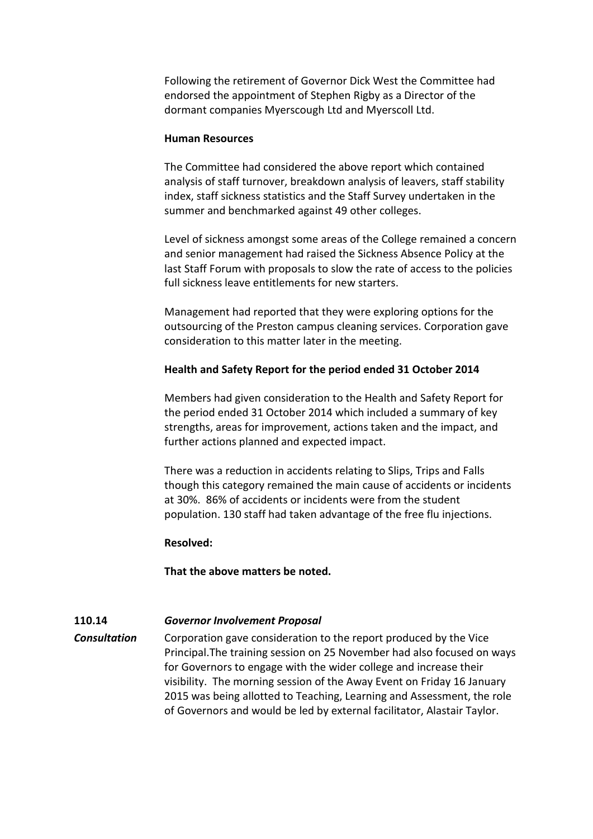Following the retirement of Governor Dick West the Committee had endorsed the appointment of Stephen Rigby as a Director of the dormant companies Myerscough Ltd and Myerscoll Ltd.

#### **Human Resources**

The Committee had considered the above report which contained analysis of staff turnover, breakdown analysis of leavers, staff stability index, staff sickness statistics and the Staff Survey undertaken in the summer and benchmarked against 49 other colleges.

Level of sickness amongst some areas of the College remained a concern and senior management had raised the Sickness Absence Policy at the last Staff Forum with proposals to slow the rate of access to the policies full sickness leave entitlements for new starters.

Management had reported that they were exploring options for the outsourcing of the Preston campus cleaning services. Corporation gave consideration to this matter later in the meeting.

# **Health and Safety Report for the period ended 31 October 2014**

Members had given consideration to the Health and Safety Report for the period ended 31 October 2014 which included a summary of key strengths, areas for improvement, actions taken and the impact, and further actions planned and expected impact.

There was a reduction in accidents relating to Slips, Trips and Falls though this category remained the main cause of accidents or incidents at 30%. 86% of accidents or incidents were from the student population. 130 staff had taken advantage of the free flu injections.

# **Resolved:**

**That the above matters be noted.**

# **110.14** *Governor Involvement Proposal*

**Consultation** Corporation gave consideration to the report produced by the Vice Principal.The training session on 25 November had also focused on ways for Governors to engage with the wider college and increase their visibility. The morning session of the Away Event on Friday 16 January 2015 was being allotted to Teaching, Learning and Assessment, the role of Governors and would be led by external facilitator, Alastair Taylor.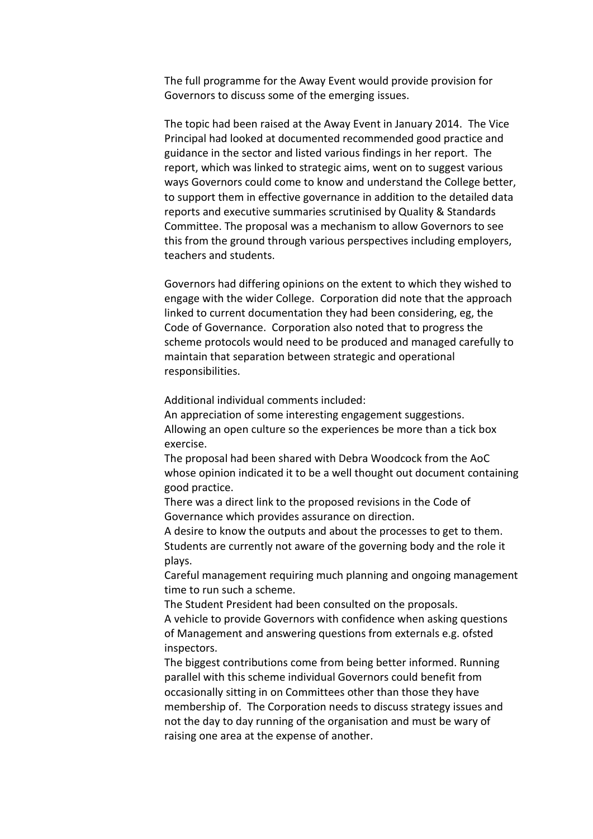The full programme for the Away Event would provide provision for Governors to discuss some of the emerging issues.

The topic had been raised at the Away Event in January 2014. The Vice Principal had looked at documented recommended good practice and guidance in the sector and listed various findings in her report. The report, which was linked to strategic aims, went on to suggest various ways Governors could come to know and understand the College better, to support them in effective governance in addition to the detailed data reports and executive summaries scrutinised by Quality & Standards Committee. The proposal was a mechanism to allow Governors to see this from the ground through various perspectives including employers, teachers and students.

Governors had differing opinions on the extent to which they wished to engage with the wider College. Corporation did note that the approach linked to current documentation they had been considering, eg, the Code of Governance. Corporation also noted that to progress the scheme protocols would need to be produced and managed carefully to maintain that separation between strategic and operational responsibilities.

Additional individual comments included:

An appreciation of some interesting engagement suggestions. Allowing an open culture so the experiences be more than a tick box exercise.

The proposal had been shared with Debra Woodcock from the AoC whose opinion indicated it to be a well thought out document containing good practice.

There was a direct link to the proposed revisions in the Code of Governance which provides assurance on direction.

A desire to know the outputs and about the processes to get to them. Students are currently not aware of the governing body and the role it plays.

Careful management requiring much planning and ongoing management time to run such a scheme.

The Student President had been consulted on the proposals.

A vehicle to provide Governors with confidence when asking questions of Management and answering questions from externals e.g. ofsted inspectors.

The biggest contributions come from being better informed. Running parallel with this scheme individual Governors could benefit from occasionally sitting in on Committees other than those they have membership of. The Corporation needs to discuss strategy issues and not the day to day running of the organisation and must be wary of raising one area at the expense of another.